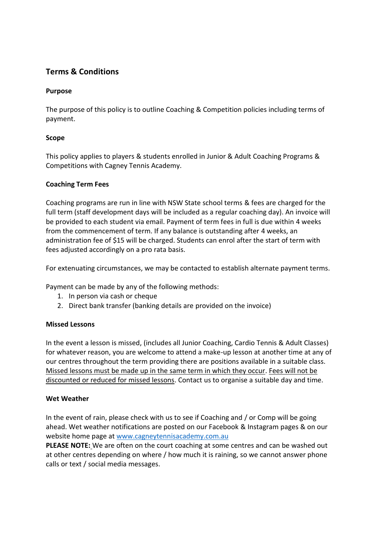# **Terms & Conditions**

# **Purpose**

The purpose of this policy is to outline Coaching & Competition policies including terms of payment.

# **Scope**

This policy applies to players & students enrolled in Junior & Adult Coaching Programs & Competitions with Cagney Tennis Academy.

## **Coaching Term Fees**

Coaching programs are run in line with NSW State school terms & fees are charged for the full term (staff development days will be included as a regular coaching day). An invoice will be provided to each student via email. Payment of term fees in full is due within 4 weeks from the commencement of term. If any balance is outstanding after 4 weeks, an administration fee of \$15 will be charged. Students can enrol after the start of term with fees adjusted accordingly on a pro rata basis.

For extenuating circumstances, we may be contacted to establish alternate payment terms.

Payment can be made by any of the following methods:

- 1. In person via cash or cheque
- 2. Direct bank transfer (banking details are provided on the invoice)

#### **Missed Lessons**

In the event a lesson is missed, (includes all Junior Coaching, Cardio Tennis & Adult Classes) for whatever reason, you are welcome to attend a make-up lesson at another time at any of our centres throughout the term providing there are positions available in a suitable class. Missed lessons must be made up in the same term in which they occur. Fees will not be discounted or reduced for missed lessons. Contact us to organise a suitable day and time.

## **Wet Weather**

In the event of rain, please check with us to see if Coaching and / or Comp will be going ahead. Wet weather notifications are posted on our Facebook & Instagram pages & on our website home page at [www.cagneytennisacademy.com.au](http://tennis.webappace.com/)

**PLEASE NOTE:** We are often on the court coaching at some centres and can be washed out at other centres depending on where / how much it is raining, so we cannot answer phone calls or text / social media messages.